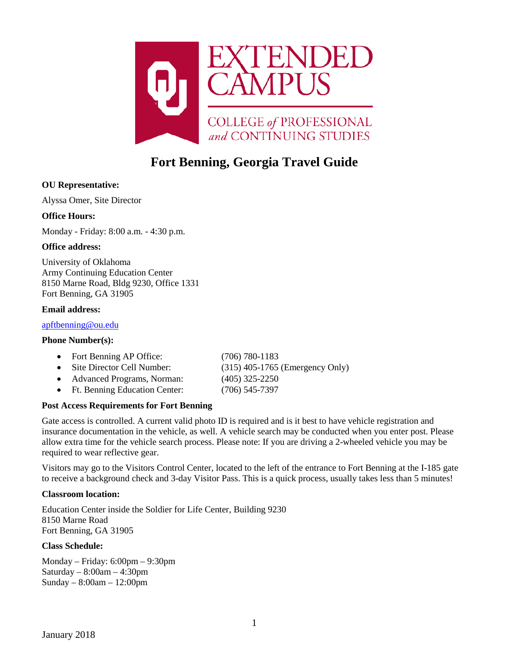

# **Fort Benning, Georgia Travel Guide**

# **OU Representative:**

Alyssa Omer, Site Director

## **Office Hours:**

Monday - Friday: 8:00 a.m. - 4:30 p.m.

## **Office address:**

University of Oklahoma Army Continuing Education Center 8150 Marne Road, Bldg 9230, Office 1331 Fort Benning, GA 31905

## **Email address:**

## [apftbenning@ou.edu](mailto:apftbenning@ou.edu)

## **Phone Number(s):**

| • Fort Benning AP Office:       | $(706)$ 780-1183                  |
|---------------------------------|-----------------------------------|
| • Site Director Cell Number:    | $(315)$ 405-1765 (Emergency Only) |
| • Advanced Programs, Norman:    | $(405)$ 325-2250                  |
| • Ft. Benning Education Center: | $(706)$ 545-7397                  |

# **Post Access Requirements for Fort Benning**

Gate access is controlled. A current valid photo ID is required and is it best to have vehicle registration and insurance documentation in the vehicle, as well. A vehicle search may be conducted when you enter post. Please allow extra time for the vehicle search process. Please note: If you are driving a 2-wheeled vehicle you may be required to wear reflective gear.

Visitors may go to the Visitors Control Center, located to the left of the entrance to Fort Benning at the I-185 gate to receive a background check and 3-day Visitor Pass. This is a quick process, usually takes less than 5 minutes!

## **Classroom location:**

Education Center inside the Soldier for Life Center, Building 9230 8150 Marne Road Fort Benning, GA 31905

## **Class Schedule:**

Monday – Friday: 6:00pm – 9:30pm Saturday  $-8:00$ am  $-4:30$ pm Sunday – 8:00am – 12:00pm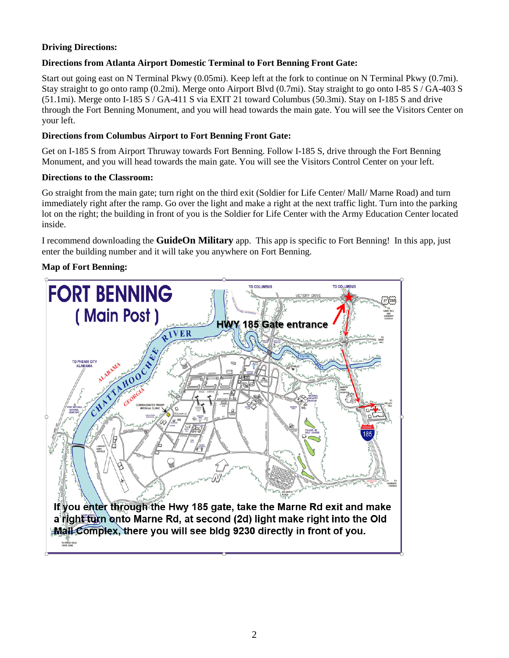# **Driving Directions:**

# **Directions from Atlanta Airport Domestic Terminal to Fort Benning Front Gate:**

Start out going east on N Terminal Pkwy (0.05mi). Keep left at the fork to continue on N Terminal Pkwy (0.7mi). Stay straight to go onto ramp (0.2mi). Merge onto Airport Blvd (0.7mi). Stay straight to go onto I-85 S / GA-403 S (51.1mi). Merge onto I-185 S / GA-411 S via EXIT 21 toward Columbus (50.3mi). Stay on I-185 S and drive through the Fort Benning Monument, and you will head towards the main gate. You will see the Visitors Center on your left.

# **Directions from Columbus Airport to Fort Benning Front Gate:**

Get on I-185 S from Airport Thruway towards Fort Benning. Follow I-185 S, drive through the Fort Benning Monument, and you will head towards the main gate. You will see the Visitors Control Center on your left.

## **Directions to the Classroom:**

Go straight from the main gate; turn right on the third exit (Soldier for Life Center/ Mall/ Marne Road) and turn immediately right after the ramp. Go over the light and make a right at the next traffic light. Turn into the parking lot on the right; the building in front of you is the Soldier for Life Center with the Army Education Center located inside.

I recommend downloading the **GuideOn Military** app. This app is specific to Fort Benning! In this app, just enter the building number and it will take you anywhere on Fort Benning.

# **Map of Fort Benning:**